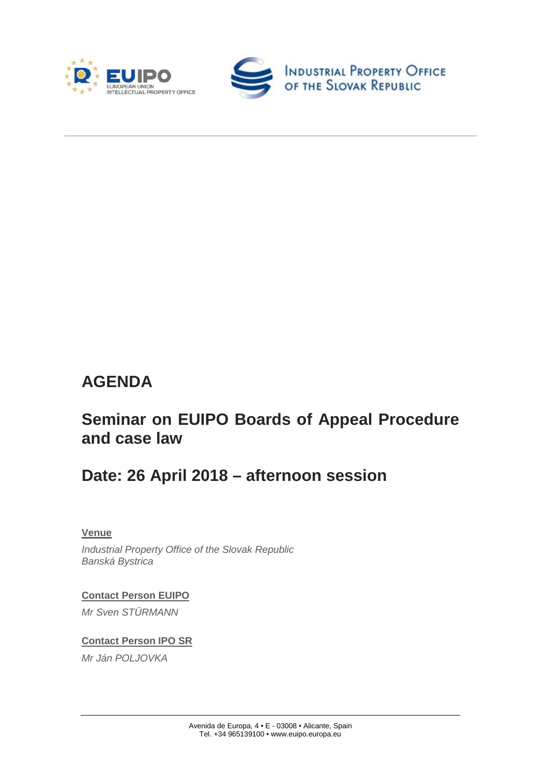



# **AGENDA**

## **Seminar on EUIPO Boards of Appeal Procedure and case law**

## **Date: 26 April 2018 – afternoon session**

#### **Venue**

*Industrial Property Office of the Slovak Republic Banská Bystrica*

**Contact Person EUIPO** *Mr Sven STÜRMANN* 

#### **Contact Person IPO SR**

*Mr Ján POLJOVKA*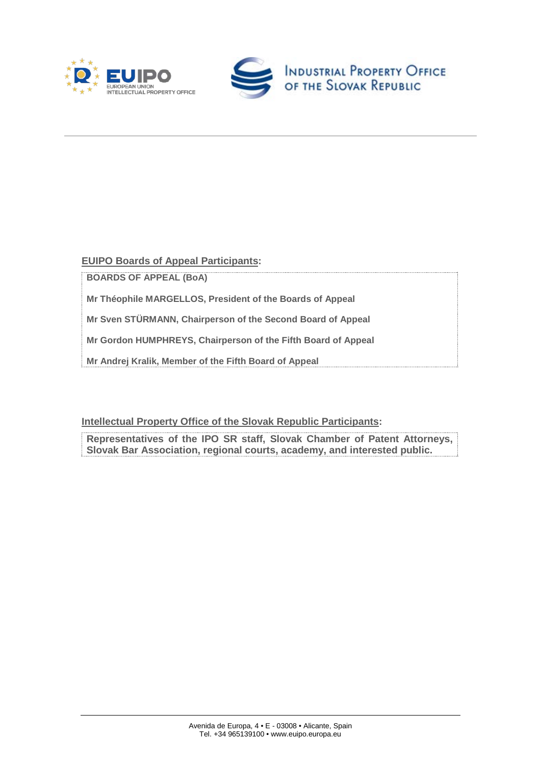



**EUIPO Boards of Appeal Participants:** 

**BOARDS OF APPEAL (BoA)**

**Mr Théophile MARGELLOS, President of the Boards of Appeal**

**Mr Sven STÜRMANN, Chairperson of the Second Board of Appeal**

**Mr Gordon HUMPHREYS, Chairperson of the Fifth Board of Appeal**

**Mr Andrej Kralik, Member of the Fifth Board of Appeal**

**Intellectual Property Office of the Slovak Republic Participants:** 

**Representatives of the IPO SR staff, Slovak Chamber of Patent Attorneys, Slovak Bar Association, regional courts, academy, and interested public.**